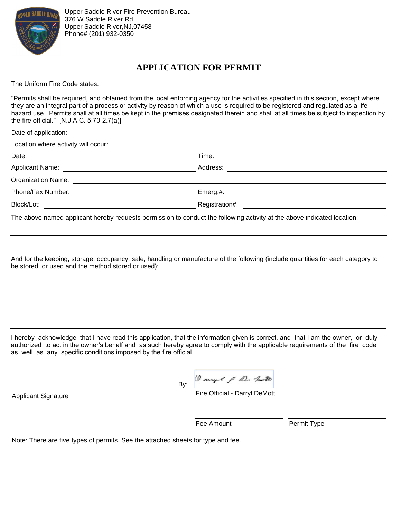

# **APPLICATION FOR PERMIT**

The Uniform Fire Code states:

"Permits shall be required, and obtained from the local enforcing agency for the activities specified in this section, except where they are an integral part of a process or activity by reason of which a use is required to be registered and regulated as a life hazard use. Permits shall at all times be kept in the premises designated therein and shall at all times be subject to inspection by the fire official." [N.J.A.C. 5:70-2.7(a)]

<u> 1989 - Johann Barbara, martxa al</u>

Date of application:

Location where activity will occur:<br>
<u>Location where activity will occur:</u>

Date: Time: Time: Time: Time: Time: Time: Time: Time: Time: Time: Time: Time: Time: Time: Time: Time: Time: Time: Time: Time: Time: Time: Time: Time: Time: Time: Time: Time: Time: Time: Time: Time: Time: Time: Time: Time:

Applicant Name: Address:

Organization Name:

Phone/Fax Number: Emerg.#:

Block/Lot: Registration#:

The above named applicant hereby requests permission to conduct the following activity at the above indicated location:

And for the keeping, storage, occupancy, sale, handling or manufacture of the following (include quantities for each category to be stored, or used and the method stored or used):

I hereby acknowledge that I have read this application, that the information given is correct, and that I am the owner, or duly authorized to act in the owner's behalf and as such hereby agree to comply with the applicable requirements of the fire code as well as any specific conditions imposed by the fire official.

> Dange & D. M.B By:

Fire Official - Darryl DeMott

Applicant Signature

Fee Amount Permit Type

Note: There are five types of permits. See the attached sheets for type and fee.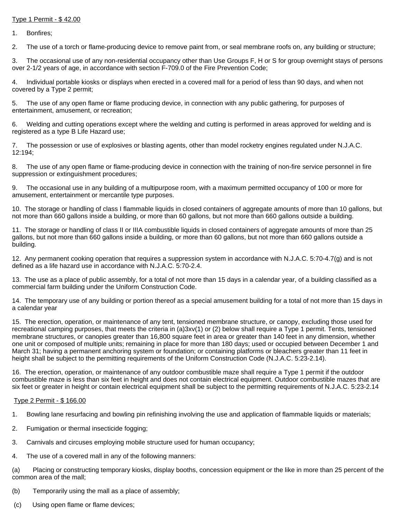# Type 1 Permit - \$ 42.00

1. Bonfires;

2. The use of a torch or flame-producing device to remove paint from, or seal membrane roofs on, any building or structure;

3. The occasional use of any non-residential occupancy other than Use Groups F, H or S for group overnight stays of persons over 2-1/2 years of age, in accordance with section F-709.0 of the Fire Prevention Code;

4. Individual portable kiosks or displays when erected in a covered mall for a period of less than 90 days, and when not covered by a Type 2 permit;

5. The use of any open flame or flame producing device, in connection with any public gathering, for purposes of entertainment, amusement, or recreation;

6. Welding and cutting operations except where the welding and cutting is performed in areas approved for welding and is registered as a type B Life Hazard use;

7. The possession or use of explosives or blasting agents, other than model rocketry engines regulated under N.J.A.C. 12:194;

8. The use of any open flame or flame-producing device in connection with the training of non-fire service personnel in fire suppression or extinguishment procedures;

9. The occasional use in any building of a multipurpose room, with a maximum permitted occupancy of 100 or more for amusement, entertainment or mercantile type purposes.

10. The storage or handling of class I flammable liquids in closed containers of aggregate amounts of more than 10 gallons, but not more than 660 gallons inside a building, or more than 60 gallons, but not more than 660 gallons outside a building.

11. The storage or handling of class II or IIIA combustible liquids in closed containers of aggregate amounts of more than 25 gallons, but not more than 660 gallons inside a building, or more than 60 gallons, but not more than 660 gallons outside a building.

12. Any permanent cooking operation that requires a suppression system in accordance with N.J.A.C. 5:70-4.7(g) and is not defined as a life hazard use in accordance with N.J.A.C. 5:70-2.4.

13. The use as a place of public assembly, for a total of not more than 15 days in a calendar year, of a building classified as a commercial farm building under the Uniform Construction Code.

14. The temporary use of any building or portion thereof as a special amusement building for a total of not more than 15 days in a calendar year

15. The erection, operation, or maintenance of any tent, tensioned membrane structure, or canopy, excluding those used for recreational camping purposes, that meets the criteria in (a)3xv(1) or (2) below shall require a Type 1 permit. Tents, tensioned membrane structures, or canopies greater than 16,800 square feet in area or greater than 140 feet in any dimension, whether one unit or composed of multiple units; remaining in place for more than 180 days; used or occupied between December 1 and March 31; having a permanent anchoring system or foundation; or containing platforms or bleachers greater than 11 feet in height shall be subject to the permitting requirements of the Uniform Construction Code (N.J.A.C. 5:23-2.14).

16. The erection, operation, or maintenance of any outdoor combustible maze shall require a Type 1 permit if the outdoor combustible maze is less than six feet in height and does not contain electrical equipment. Outdoor combustible mazes that are six feet or greater in height or contain electrical equipment shall be subject to the permitting requirements of N.J.A.C. 5:23-2.14

#### Type 2 Permit - \$ 166.00

- 1. Bowling lane resurfacing and bowling pin refinishing involving the use and application of flammable liquids or materials;
- 2. Fumigation or thermal insecticide fogging;
- 3. Carnivals and circuses employing mobile structure used for human occupancy;
- 4. The use of a covered mall in any of the following manners:

(a) Placing or constructing temporary kiosks, display booths, concession equipment or the like in more than 25 percent of the common area of the mall;

- (b) Temporarily using the mall as a place of assembly;
- (c) Using open flame or flame devices;